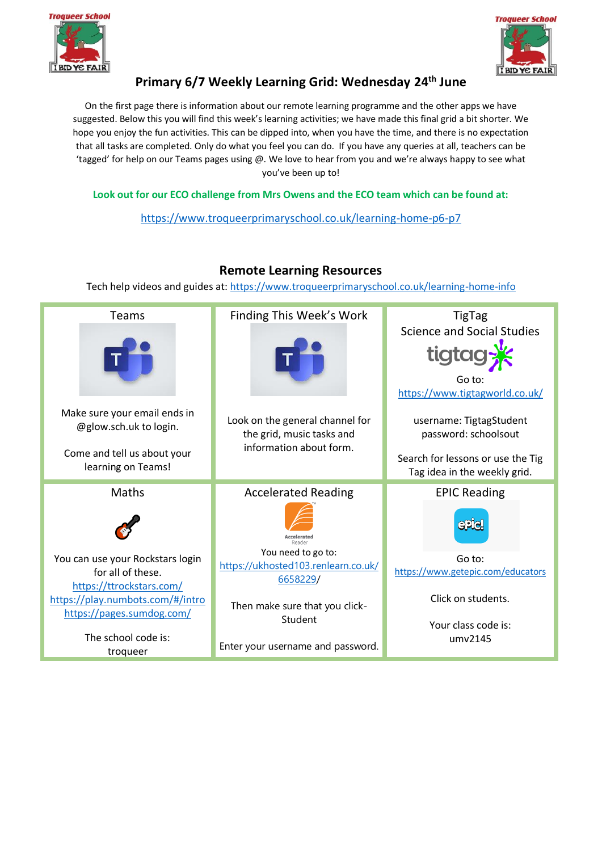



# **Primary 6/7 Weekly Learning Grid: Wednesday 24th June**

On the first page there is information about our remote learning programme and the other apps we have suggested. Below this you will find this week's learning activities; we have made this final grid a bit shorter. We hope you enjoy the fun activities. This can be dipped into, when you have the time, and there is no expectation that all tasks are completed. Only do what you feel you can do. If you have any queries at all, teachers can be 'tagged' for help on our Teams pages using @. We love to hear from you and we're always happy to see what you've been up to!

**Look out for our ECO challenge from Mrs Owens and the ECO team which can be found at:** 

[https://www.troqueerprimaryschool.co.uk/learning-home-p6-p7](about:blank)

#### Tech help videos and guides at: [https://www.troqueerprimaryschool.co.uk/learning-home-info](about:blank) Teams Finding This Week's Work TigTag Science and Social Studies tigtag Go to: [https://www.tigtagworld.co.uk/](about:blank) Make sure your email ends in Look on the general channel for username: TigtagStudent @glow.sch.uk to login. the grid, music tasks and password: schoolsout information about form. Come and tell us about your Search for lessons or use the Tig learning on Teams! Tag idea in the weekly grid. Accelerated Reading Maths EPIC Reading  $\bullet$ **aple** Accelerated You need to go to: You can use your Rockstars login Go to: [https://ukhosted103.renlearn.co.uk/](about:blank) [https://www.getepic.com/educators](about:blank) for all of these. [6658229/](about:blank) [https://ttrockstars.com/](about:blank) Click on students. [https://play.numbots.com/#/intro](about:blank#/intro) Then make sure that you click[https://pages.sumdog.com/](about:blank) Student Your class code is: The school code is: umv2145Enter your username and password. troqueer

## **Remote Learning Resources**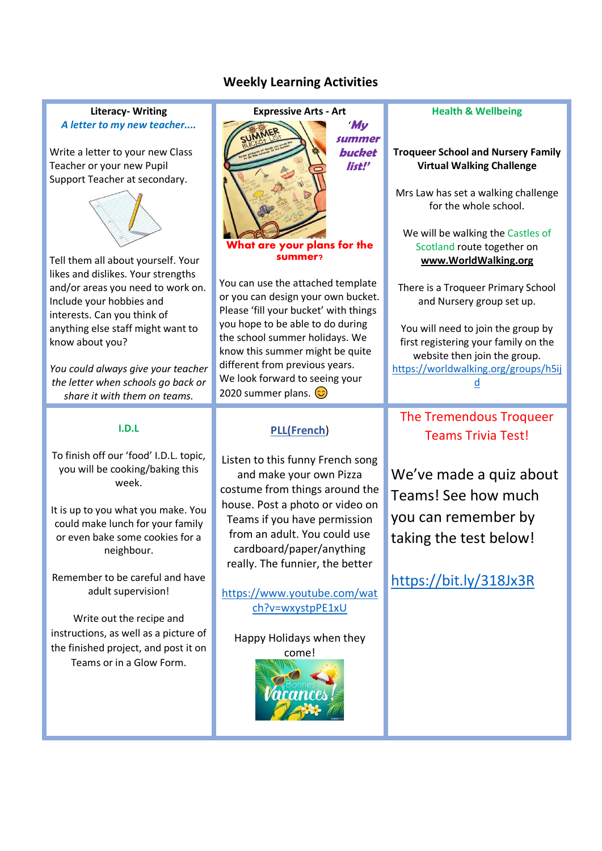## **Weekly Learning Activities**

### **Literacy- Writing**  *A letter to my new teacher....*

Write a letter to your new Class Teacher or your new Pupil Support Teacher at secondary.



Tell them all about yourself. Your likes and dislikes. Your strengths and/or areas you need to work on. Include your hobbies and interests. Can you think of anything else staff might want to know about you?

*You could always give your teacher the letter when schools go back or share it with them on teams.*

### **I.D.L**

To finish off our 'food' I.D.L. topic, you will be cooking/baking this week.

It is up to you what you make. You could make lunch for your family or even bake some cookies for a neighbour.

Remember to be careful and have adult supervision!

Write out the recipe and instructions, as well as a picture of the finished project, and post it on Teams or in a Glow Form.



summer?

You can use the attached template or you can design your own bucket. Please 'fill your bucket' with things you hope to be able to do during the school summer holidays. We know this summer might be quite different from previous years. We look forward to seeing your 2020 summer plans.  $\circled{c}$ 

## **PLL(French**)

Listen to this funny French song and make your own Pizza costume from things around the house. Post a photo or video on Teams if you have permission from an adult. You could use cardboard/paper/anything really. The funnier, the better

[https://www.youtube.com/wat](https://www.youtube.com/watch?v=wxystpPE1xU) [ch?v=wxystpPE1xU](https://www.youtube.com/watch?v=wxystpPE1xU)

Happy Holidays when they come!



#### **Health & Wellbeing**

#### **Troqueer School and Nursery Family Virtual Walking Challenge**

Mrs Law has set a walking challenge for the whole school.

We will be walking the Castles of Scotland route together on **[www.WorldWalking.org](http://www.worldwalking.org/)**

There is a Troqueer Primary School and Nursery group set up.

You will need to join the group by first registering your family on the website then join the group. [https://worldwalking.org/groups/h5ij](https://worldwalking.org/groups/h5ijd) [d](https://worldwalking.org/groups/h5ijd)

#### The Tremendous Trequeer The Tremendous Troqueer Teams Trivia Test!

watch the groups progress and learning progress and learning  $\mathbf{r}$ We've made a quiz about Teams! See how much you can remember by taking the test below!

<https://bit.ly/318Jx3R>